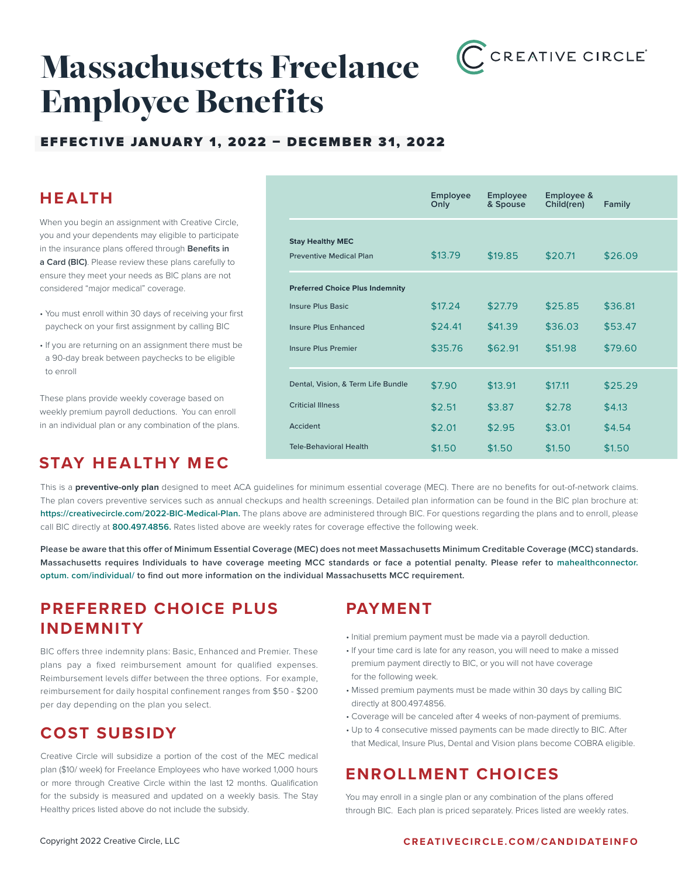

# Massachusetts Freelance Employee Benefits

### EFFECTIVE JANUARY 1, 2022 – DECEMBER 31, 2022

## **HE ALTH Employee**

When you begin an assignment with Creative Circle, you and your dependents may eligible to participate in the insurance plans offered through **Benefits in a Card (BIC)**. Please review these plans carefully to ensure they meet your needs as BIC plans are not considered "major medical" coverage.

- You must enroll within 30 days of receiving your first paycheck on your first assignment by calling BIC
- If you are returning on an assignment there must be a 90-day break between paychecks to be eligible to enroll

These plans provide weekly coverage based on weekly premium payroll deductions. You can enroll in an individual plan or any combination of the plans.

# **STAY HEALTHY M EC**

|                                                           | Employee<br>Only | Employee<br>& Spouse | Employee &<br>Child(ren) | Family  |
|-----------------------------------------------------------|------------------|----------------------|--------------------------|---------|
| <b>Stay Healthy MEC</b><br><b>Preventive Medical Plan</b> | \$13.79          | \$19.85              | \$20.71                  | \$26.09 |
| <b>Preferred Choice Plus Indemnity</b>                    |                  |                      |                          |         |
| <b>Insure Plus Basic</b>                                  | \$17.24          | \$27.79              | \$25.85                  | \$36.81 |
| Insure Plus Enhanced                                      | \$24.41          | \$41.39              | \$36.03                  | \$53.47 |
| <b>Insure Plus Premier</b>                                | \$35.76          | \$62.91              | \$51.98                  | \$79.60 |
| Dental, Vision, & Term Life Bundle                        | \$7.90           | \$13.91              | \$17.11                  | \$25.29 |
| <b>Criticial Illness</b>                                  | \$2.51           | \$3.87               | \$2.78                   | \$4.13  |
| Accident                                                  | \$2.01           | \$2.95               | \$3.01                   | \$4.54  |
| <b>Tele-Behavioral Health</b>                             | \$1.50           | \$1.50               | \$1.50                   | \$1.50  |

This is a **preventive-only plan** designed to meet ACA guidelines for minimum essential coverage (MEC). There are no benefits for out-of-network claims. The plan covers preventive services such as annual checkups and health screenings. Detailed plan information can be found in the BIC plan brochure at: **https://creativecircle.com/2022-BIC-Medical-Plan.** The plans above are administered through BIC. For questions regarding the plans and to enroll, please call BIC directly at **800.497.4856.** Rates listed above are weekly rates for coverage effective the following week.

**Please be aware that this offer of Minimum Essential Coverage (MEC) does not meet Massachusetts Minimum Creditable Coverage (MCC) standards. Massachusetts requires Individuals to have coverage meeting MCC standards or face a potential penalty. Please refer to mahealthconnector. optum. com/individual/ to find out more information on the individual Massachusetts MCC requirement.**

# **PREFERRED CHOICE PLUS INDEMNITY**

BIC offers three indemnity plans: Basic, Enhanced and Premier. These plans pay a fixed reimbursement amount for qualified expenses. Reimbursement levels differ between the three options. For example, reimbursement for daily hospital confinement ranges from \$50 - \$200 per day depending on the plan you select.

# **COST SUBSIDY**

Creative Circle will subsidize a portion of the cost of the MEC medical plan (\$10/ week) for Freelance Employees who have worked 1,000 hours or more through Creative Circle within the last 12 months. Qualification for the subsidy is measured and updated on a weekly basis. The Stay Healthy prices listed above do not include the subsidy.

## **PAYMENT**

- Initial premium payment must be made via a payroll deduction.
- If your time card is late for any reason, you will need to make a missed premium payment directly to BIC, or you will not have coverage for the following week.
- Missed premium payments must be made within 30 days by calling BIC directly at 800.497.4856.
- Coverage will be canceled after 4 weeks of non-payment of premiums.
- Up to 4 consecutive missed payments can be made directly to BIC. After that Medical, Insure Plus, Dental and Vision plans become COBRA eligible.

# **ENROLLMENT CHOICES**

You may enroll in a single plan or any combination of the plans offered through BIC. Each plan is priced separately. Prices listed are weekly rates.